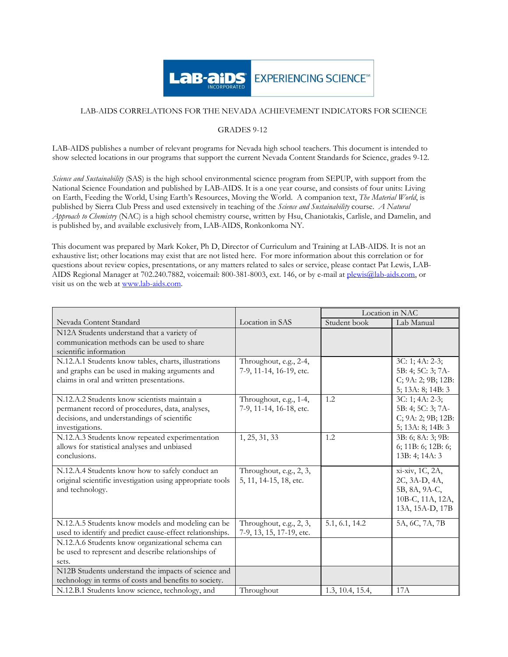

## LAB-AIDS CORRELATIONS FOR THE NEVADA ACHIEVEMENT INDICATORS FOR SCIENCE

## GRADES 9-12

LAB-AIDS publishes a number of relevant programs for Nevada high school teachers. This document is intended to show selected locations in our programs that support the current Nevada Content Standards for Science, grades 9-12.

Science and Sustainability (SAS) is the high school environmental science program from SEPUP, with support from the National Science Foundation and published by LAB-AIDS. It is a one year course, and consists of four units: Living on Earth, Feeding the World, Using Earth's Resources, Moving the World. A companion text, The Material World, is published by Sierra Club Press and used extensively in teaching of the Science and Sustainability course. A Natural Approach to Chemistry (NAC) is a high school chemistry course, written by Hsu, Chaniotakis, Carlisle, and Damelin, and is published by, and available exclusively from, LAB-AIDS, Ronkonkoma NY.

This document was prepared by Mark Koker, Ph D, Director of Curriculum and Training at LAB-AIDS. It is not an exhaustive list; other locations may exist that are not listed here. For more information about this correlation or for questions about review copies, presentations, or any matters related to sales or service, please contact Pat Lewis, LAB-AIDS Regional Manager at 702.240.7882, voicemail: 800-381-8003, ext. 146, or by e-mail at plewis@lab-aids.com, or visit us on the web at www.lab-aids.com.

|                                                                                                                                                                   |                                                     | Location in NAC  |                                                                                          |
|-------------------------------------------------------------------------------------------------------------------------------------------------------------------|-----------------------------------------------------|------------------|------------------------------------------------------------------------------------------|
| Nevada Content Standard                                                                                                                                           | Location in SAS                                     | Student book     | Lab Manual                                                                               |
| N12A Students understand that a variety of<br>communication methods can be used to share<br>scientific information                                                |                                                     |                  |                                                                                          |
| N.12.A.1 Students know tables, charts, illustrations<br>and graphs can be used in making arguments and<br>claims in oral and written presentations.               | Throughout, e.g., 2-4,<br>7-9, 11-14, 16-19, etc.   |                  | $3C: 1; 4A: 2-3;$<br>5B: 4; 5C: 3; 7A-<br>C; 9A: 2; 9B; 12B:<br>5; $13A: 8$ ; $14B: 3$   |
| N.12.A.2 Students know scientists maintain a<br>permanent record of procedures, data, analyses,<br>decisions, and understandings of scientific<br>investigations. | Throughout, e.g., 1-4,<br>7-9, 11-14, 16-18, etc.   | 1.2              | $3C: 1; 4A: 2-3;$<br>5B: 4; 5C: 3; 7A-<br>C; 9A: 2; 9B; 12B:<br>5; $13A: 8$ ; $14B: 3$   |
| N.12.A.3 Students know repeated experimentation<br>allows for statistical analyses and unbiased<br>conclusions.                                                   | 1, 25, 31, 33                                       | 1.2              | 3B: 6; 8A: 3; 9B:<br>6; 11B: 6; 12B: 6;<br>13B: 4; 14A: 3                                |
| N.12.A.4 Students know how to safely conduct an<br>original scientific investigation using appropriate tools<br>and technology.                                   | Throughout, e.g., 2, 3,<br>5, 11, 14-15, 18, etc.   |                  | xi-xiv, 1C, 2A,<br>2C, 3A-D, 4A,<br>5B, 8A, 9A-C,<br>10B-C, 11A, 12A,<br>13A, 15A-D, 17B |
| N.12.A.5 Students know models and modeling can be<br>used to identify and predict cause-effect relationships.                                                     | Throughout, e.g., 2, 3,<br>7-9, 13, 15, 17-19, etc. | 5.1, 6.1, 14.2   | 5A, 6C, 7A, 7B                                                                           |
| N.12.A.6 Students know organizational schema can<br>be used to represent and describe relationships of<br>sets.                                                   |                                                     |                  |                                                                                          |
| N12B Students understand the impacts of science and<br>technology in terms of costs and benefits to society.                                                      |                                                     |                  |                                                                                          |
| N.12.B.1 Students know science, technology, and                                                                                                                   | Throughout                                          | 1.3, 10.4, 15.4, | 17A                                                                                      |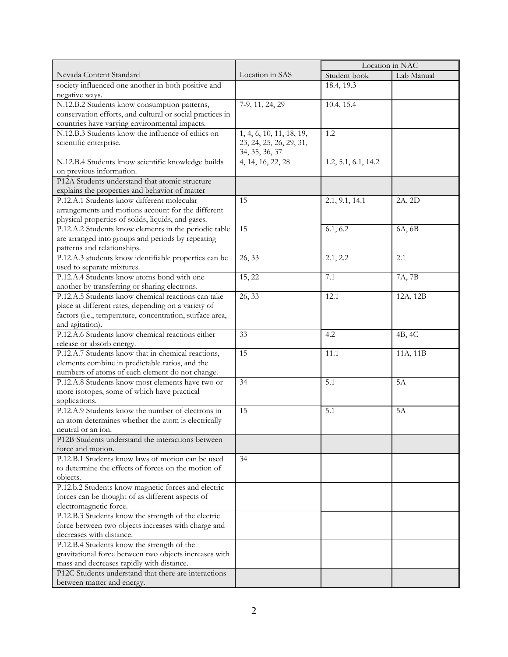|                                                                                                    |                          | Location in NAC     |            |
|----------------------------------------------------------------------------------------------------|--------------------------|---------------------|------------|
| Nevada Content Standard                                                                            | Location in SAS          | Student book        | Lab Manual |
| society influenced one another in both positive and                                                |                          | 18.4, 19.3          |            |
| negative ways.                                                                                     |                          |                     |            |
| N.12.B.2 Students know consumption patterns,                                                       | 7-9, 11, 24, 29          | 10.4, 15.4          |            |
| conservation efforts, and cultural or social practices in                                          |                          |                     |            |
| countries have varying environmental impacts.                                                      |                          |                     |            |
| N.12.B.3 Students know the influence of ethics on                                                  | 1, 4, 6, 10, 11, 18, 19, | 1.2                 |            |
| scientific enterprise.                                                                             | 23, 24, 25, 26, 29, 31,  |                     |            |
|                                                                                                    | 34, 35, 36, 37           |                     |            |
| N.12.B.4 Students know scientific knowledge builds                                                 | 4, 14, 16, 22, 28        | 1.2, 5.1, 6.1, 14.2 |            |
| on previous information.                                                                           |                          |                     |            |
| P12A Students understand that atomic structure                                                     |                          |                     |            |
| explains the properties and behavior of matter                                                     |                          |                     |            |
| P.12.A.1 Students know different molecular                                                         | 15                       | 2.1, 9.1, 14.1      | 2A, 2D     |
| arrangements and motions account for the different                                                 |                          |                     |            |
| physical properties of solids, liquids, and gases.                                                 |                          |                     |            |
| P.12.A.2 Students know elements in the periodic table                                              | 15                       | 6.1, 6.2            | 6A, 6B     |
| are arranged into groups and periods by repeating                                                  |                          |                     |            |
| patterns and relationships.                                                                        |                          |                     |            |
| P.12.A.3 students know identifiable properties can be                                              | 26, 33                   | 2.1, 2.2            | 2.1        |
| used to separate mixtures.                                                                         |                          |                     |            |
| P.12.A.4 Students know atoms bond with one                                                         | 15, 22                   | 7.1                 | 7A, 7B     |
| another by transferring or sharing electrons.                                                      |                          |                     |            |
| P.12.A.5 Students know chemical reactions can take                                                 | 26, 33                   |                     |            |
|                                                                                                    |                          | 12.1                | 12A, 12B   |
| place at different rates, depending on a variety of                                                |                          |                     |            |
| factors (i.e., temperature, concentration, surface area,<br>and agitation).                        |                          |                     |            |
| P.12.A.6 Students know chemical reactions either                                                   | 33                       | 4.2                 | 4B, 4C     |
| release or absorb energy.                                                                          |                          |                     |            |
| P.12.A.7 Students know that in chemical reactions,                                                 | 15                       | 11.1                | 11A, 11B   |
|                                                                                                    |                          |                     |            |
| elements combine in predictable ratios, and the<br>numbers of atoms of each element do not change. |                          |                     |            |
| P.12.A.8 Students know most elements have two or                                                   | 34                       | 5.1                 | 5A         |
| more isotopes, some of which have practical                                                        |                          |                     |            |
| applications.                                                                                      |                          |                     |            |
| P.12.A.9 Students know the number of electrons in                                                  | 15                       | 5.1                 |            |
|                                                                                                    |                          |                     | 5A         |
| an atom determines whether the atom is electrically                                                |                          |                     |            |
| neutral or an ion.<br>P12B Students understand the interactions between                            |                          |                     |            |
|                                                                                                    |                          |                     |            |
| force and motion.<br>P.12.B.1 Students know laws of motion can be used                             |                          |                     |            |
|                                                                                                    | 34                       |                     |            |
| to determine the effects of forces on the motion of                                                |                          |                     |            |
| objects.                                                                                           |                          |                     |            |
| P.12.b.2 Students know magnetic forces and electric                                                |                          |                     |            |
| forces can be thought of as different aspects of                                                   |                          |                     |            |
| electromagnetic force.                                                                             |                          |                     |            |
| P.12.B.3 Students know the strength of the electric                                                |                          |                     |            |
| force between two objects increases with charge and                                                |                          |                     |            |
| decreases with distance.                                                                           |                          |                     |            |
| P.12.B.4 Students know the strength of the                                                         |                          |                     |            |
| gravitational force between two objects increases with                                             |                          |                     |            |
| mass and decreases rapidly with distance.                                                          |                          |                     |            |
| P12C Students understand that there are interactions                                               |                          |                     |            |
| between matter and energy.                                                                         |                          |                     |            |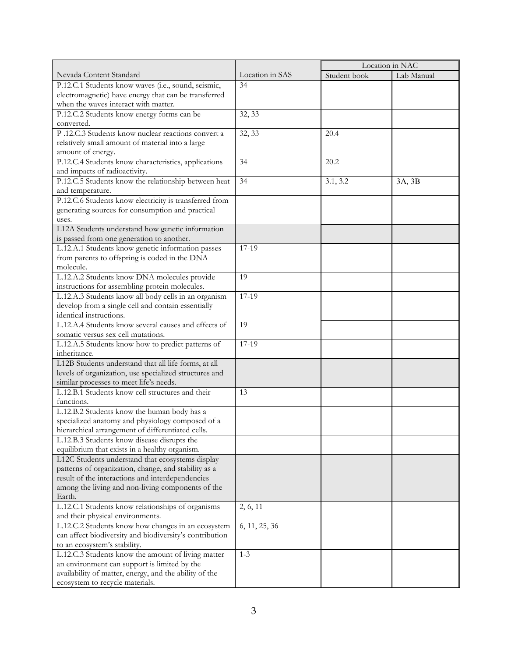|                                                            |                 | Location in NAC |            |
|------------------------------------------------------------|-----------------|-----------------|------------|
| Nevada Content Standard                                    | Location in SAS | Student book    | Lab Manual |
| P.12.C.1 Students know waves (i.e., sound, seismic,        | 34              |                 |            |
| electromagnetic) have energy that can be transferred       |                 |                 |            |
| when the waves interact with matter.                       |                 |                 |            |
| P.12.C.2 Students know energy forms can be                 | 32, 33          |                 |            |
| converted.                                                 |                 |                 |            |
| P.12.C.3 Students know nuclear reactions convert a         | 32, 33          | 20.4            |            |
| relatively small amount of material into a large           |                 |                 |            |
| amount of energy.                                          |                 |                 |            |
| P.12.C.4 Students know characteristics, applications       | 34              | 20.2            |            |
| and impacts of radioactivity.                              |                 |                 |            |
| P.12.C.5 Students know the relationship between heat       | 34              | 3.1, 3.2        | 3A, 3B     |
| and temperature.                                           |                 |                 |            |
| P.12.C.6 Students know electricity is transferred from     |                 |                 |            |
| generating sources for consumption and practical           |                 |                 |            |
| uses.                                                      |                 |                 |            |
| L12A Students understand how genetic information           |                 |                 |            |
| is passed from one generation to another.                  |                 |                 |            |
| L.12.A.1 Students know genetic information passes          | 17-19           |                 |            |
|                                                            |                 |                 |            |
| from parents to offspring is coded in the DNA<br>molecule. |                 |                 |            |
|                                                            | 19              |                 |            |
| L.12.A.2 Students know DNA molecules provide               |                 |                 |            |
| instructions for assembling protein molecules.             |                 |                 |            |
| L.12.A.3 Students know all body cells in an organism       | 17-19           |                 |            |
| develop from a single cell and contain essentially         |                 |                 |            |
| identical instructions.                                    |                 |                 |            |
| L.12.A.4 Students know several causes and effects of       | 19              |                 |            |
| somatic versus sex cell mutations.                         |                 |                 |            |
| L.12.A.5 Students know how to predict patterns of          | $17-19$         |                 |            |
| inheritance.                                               |                 |                 |            |
| L12B Students understand that all life forms, at all       |                 |                 |            |
| levels of organization, use specialized structures and     |                 |                 |            |
| similar processes to meet life's needs.                    |                 |                 |            |
| L.12.B.1 Students know cell structures and their           | 13              |                 |            |
| functions.                                                 |                 |                 |            |
| L.12.B.2 Students know the human body has a                |                 |                 |            |
| specialized anatomy and physiology composed of a           |                 |                 |            |
| hierarchical arrangement of differentiated cells.          |                 |                 |            |
| L.12.B.3 Students know disease disrupts the                |                 |                 |            |
| equilibrium that exists in a healthy organism.             |                 |                 |            |
| L12C Students understand that ecosystems display           |                 |                 |            |
| patterns of organization, change, and stability as a       |                 |                 |            |
| result of the interactions and interdependencies           |                 |                 |            |
| among the living and non-living components of the          |                 |                 |            |
| Earth.                                                     |                 |                 |            |
| L.12.C.1 Students know relationships of organisms          | 2, 6, 11        |                 |            |
| and their physical environments.                           |                 |                 |            |
| L.12.C.2 Students know how changes in an ecosystem         | 6, 11, 25, 36   |                 |            |
| can affect biodiversity and biodiversity's contribution    |                 |                 |            |
| to an ecosystem's stability.                               |                 |                 |            |
| L.12.C.3 Students know the amount of living matter         | $1 - 3$         |                 |            |
| an environment can support is limited by the               |                 |                 |            |
| availability of matter, energy, and the ability of the     |                 |                 |            |
| ecosystem to recycle materials.                            |                 |                 |            |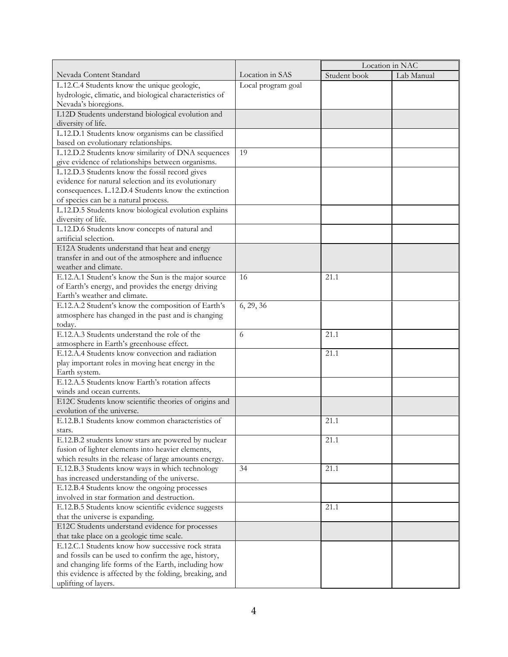|                                                                                                          |                    | Location in NAC |            |
|----------------------------------------------------------------------------------------------------------|--------------------|-----------------|------------|
| Nevada Content Standard                                                                                  | Location in SAS    | Student book    | Lab Manual |
| L.12.C.4 Students know the unique geologic,                                                              | Local program goal |                 |            |
| hydrologic, climatic, and biological characteristics of                                                  |                    |                 |            |
| Nevada's bioregions.                                                                                     |                    |                 |            |
| L12D Students understand biological evolution and                                                        |                    |                 |            |
| diversity of life.                                                                                       |                    |                 |            |
| L.12.D.1 Students know organisms can be classified                                                       |                    |                 |            |
| based on evolutionary relationships.                                                                     |                    |                 |            |
| L.12.D.2 Students know similarity of DNA sequences                                                       | 19                 |                 |            |
| give evidence of relationships between organisms.                                                        |                    |                 |            |
| L.12.D.3 Students know the fossil record gives                                                           |                    |                 |            |
| evidence for natural selection and its evolutionary                                                      |                    |                 |            |
| consequences. L.12.D.4 Students know the extinction                                                      |                    |                 |            |
| of species can be a natural process.                                                                     |                    |                 |            |
| L.12.D.5 Students know biological evolution explains                                                     |                    |                 |            |
| diversity of life.                                                                                       |                    |                 |            |
| L.12.D.6 Students know concepts of natural and                                                           |                    |                 |            |
| artificial selection.                                                                                    |                    |                 |            |
| E12A Students understand that heat and energy                                                            |                    |                 |            |
| transfer in and out of the atmosphere and influence                                                      |                    |                 |            |
| weather and climate.                                                                                     |                    |                 |            |
| E.12.A.1 Student's know the Sun is the major source                                                      | 16                 | 21.1            |            |
|                                                                                                          |                    |                 |            |
| of Earth's energy, and provides the energy driving<br>Earth's weather and climate.                       |                    |                 |            |
|                                                                                                          |                    |                 |            |
| E.12.A.2 Student's know the composition of Earth's                                                       | 6, 29, 36          |                 |            |
| atmosphere has changed in the past and is changing<br>today.                                             |                    |                 |            |
| E.12.A.3 Students understand the role of the                                                             | 6                  | 21.1            |            |
|                                                                                                          |                    |                 |            |
| atmosphere in Earth's greenhouse effect.<br>E.12.A.4 Students know convection and radiation              |                    |                 |            |
|                                                                                                          |                    | 21.1            |            |
| play important roles in moving heat energy in the<br>Earth system.                                       |                    |                 |            |
| E.12.A.5 Students know Earth's rotation affects                                                          |                    |                 |            |
| winds and ocean currents.                                                                                |                    |                 |            |
| E12C Students know scientific theories of origins and                                                    |                    |                 |            |
| evolution of the universe.                                                                               |                    |                 |            |
|                                                                                                          |                    |                 |            |
| E.12.B.1 Students know common characteristics of                                                         |                    | 21.1            |            |
| stars.                                                                                                   |                    | 21.1            |            |
| E.12.B.2 students know stars are powered by nuclear<br>fusion of lighter elements into heavier elements, |                    |                 |            |
| which results in the release of large amounts energy.                                                    |                    |                 |            |
|                                                                                                          | 34                 | 21.1            |            |
| E.12.B.3 Students know ways in which technology<br>has increased understanding of the universe.          |                    |                 |            |
|                                                                                                          |                    |                 |            |
| E.12.B.4 Students know the ongoing processes                                                             |                    |                 |            |
| involved in star formation and destruction.<br>E.12.B.5 Students know scientific evidence suggests       |                    |                 |            |
|                                                                                                          |                    | 21.1            |            |
| that the universe is expanding.                                                                          |                    |                 |            |
| E12C Students understand evidence for processes                                                          |                    |                 |            |
| that take place on a geologic time scale.                                                                |                    |                 |            |
| E.12.C.1 Students know how successive rock strata                                                        |                    |                 |            |
| and fossils can be used to confirm the age, history,                                                     |                    |                 |            |
| and changing life forms of the Earth, including how                                                      |                    |                 |            |
| this evidence is affected by the folding, breaking, and<br>uplifting of layers.                          |                    |                 |            |
|                                                                                                          |                    |                 |            |